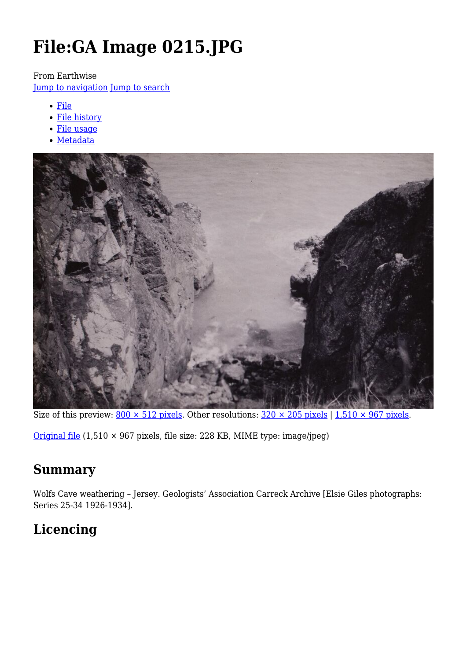# **File:GA Image 0215.JPG**

From Earthwise

[Jump to navigation](#page--1-0) [Jump to search](#page--1-0)

- [File](#page--1-0)
- [File history](#page--1-0)
- [File usage](#page--1-0)
- [Metadata](#page--1-0)



Size of this preview:  $800 \times 512$  pixels. Other resolutions:  $320 \times 205$  pixels | 1,510  $\times$  967 pixels.

[Original file](http://earthwise.bgs.ac.uk/images/b/bd/GA_Image_0215.JPG) (1,510 × 967 pixels, file size: 228 KB, MIME type: image/jpeg)

# **Summary**

Wolfs Cave weathering – Jersey. Geologists' Association Carreck Archive [Elsie Giles photographs: Series 25-34 1926-1934].

# **Licencing**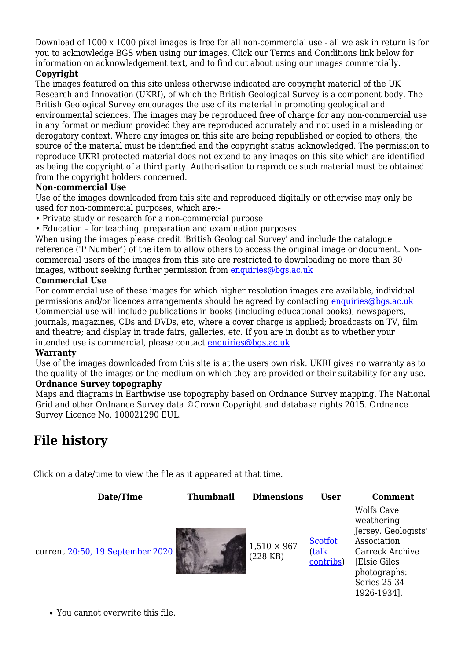Download of 1000 x 1000 pixel images is free for all non-commercial use - all we ask in return is for you to acknowledge BGS when using our images. Click our Terms and Conditions link below for information on acknowledgement text, and to find out about using our images commercially.

#### **Copyright**

The images featured on this site unless otherwise indicated are copyright material of the UK Research and Innovation (UKRI), of which the British Geological Survey is a component body. The British Geological Survey encourages the use of its material in promoting geological and environmental sciences. The images may be reproduced free of charge for any non-commercial use in any format or medium provided they are reproduced accurately and not used in a misleading or derogatory context. Where any images on this site are being republished or copied to others, the source of the material must be identified and the copyright status acknowledged. The permission to reproduce UKRI protected material does not extend to any images on this site which are identified as being the copyright of a third party. Authorisation to reproduce such material must be obtained from the copyright holders concerned.

#### **Non-commercial Use**

Use of the images downloaded from this site and reproduced digitally or otherwise may only be used for non-commercial purposes, which are:-

- Private study or research for a non-commercial purpose
- Education for teaching, preparation and examination purposes

When using the images please credit 'British Geological Survey' and include the catalogue reference ('P Number') of the item to allow others to access the original image or document. Noncommercial users of the images from this site are restricted to downloading no more than 30 images, without seeking further permission from [enquiries@bgs.ac.uk](mailto:enquiries@bgs.ac.uk)

#### **Commercial Use**

For commercial use of these images for which higher resolution images are available, individual permissions and/or licences arrangements should be agreed by contacting [enquiries@bgs.ac.uk](mailto:enquiries@bgs.ac.uk) Commercial use will include publications in books (including educational books), newspapers, journals, magazines, CDs and DVDs, etc, where a cover charge is applied; broadcasts on TV, film and theatre; and display in trade fairs, galleries, etc. If you are in doubt as to whether your intended use is commercial, please contact [enquiries@bgs.ac.uk](mailto:enquiries@bgs.ac.uk)

#### **Warranty**

Use of the images downloaded from this site is at the users own risk. UKRI gives no warranty as to the quality of the images or the medium on which they are provided or their suitability for any use. **Ordnance Survey topography**

Maps and diagrams in Earthwise use topography based on Ordnance Survey mapping. The National Grid and other Ordnance Survey data ©Crown Copyright and database rights 2015. Ordnance Survey Licence No. 100021290 EUL.

# **File history**

Click on a date/time to view the file as it appeared at that time.

| Date/Time                        | <b>Thumbnail</b> | <b>Dimensions</b>                | <b>User</b>                           | <b>Comment</b>                                                                                                                                            |
|----------------------------------|------------------|----------------------------------|---------------------------------------|-----------------------------------------------------------------------------------------------------------------------------------------------------------|
| current 20:50, 19 September 2020 |                  | $1,510 \times 967$<br>$(228$ KB) | <b>Scotfot</b><br>(talk)<br>contribs) | <b>Wolfs Cave</b><br>weathering -<br>Jersey. Geologists'<br>Association<br>Carreck Archive<br>[Elsie Giles<br>photographs:<br>Series 25-34<br>1926-1934]. |

You cannot overwrite this file.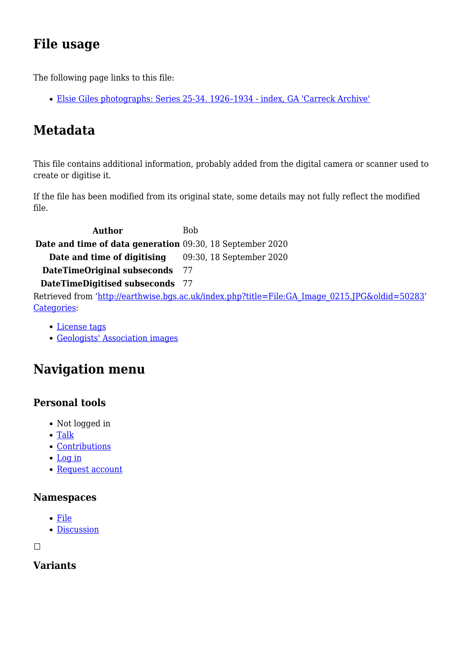# **File usage**

The following page links to this file:

[Elsie Giles photographs: Series 25-34. 1926–1934 - index, GA 'Carreck Archive'](http://earthwise.bgs.ac.uk/index.php/Elsie_Giles_photographs:_Series_25-34._1926%E2%80%931934_-_index,_GA_%27Carreck_Archive%27)

# **Metadata**

This file contains additional information, probably added from the digital camera or scanner used to create or digitise it.

If the file has been modified from its original state, some details may not fully reflect the modified file.

**Author** Bob **Date and time of data generation** 09:30, 18 September 2020 **Date and time of digitising** 09:30, 18 September 2020 **DateTimeOriginal subseconds** 77 **DateTimeDigitised subseconds** 77 Retrieved from ['http://earthwise.bgs.ac.uk/index.php?title=File:GA\\_Image\\_0215.JPG&oldid=50283](http://earthwise.bgs.ac.uk/index.php?title=File:GA_Image_0215.JPG&oldid=50283)' [Categories:](http://earthwise.bgs.ac.uk/index.php/Special:Categories)

- [License tags](http://earthwise.bgs.ac.uk/index.php/Category:License_tags)
- [Geologists' Association images](http://earthwise.bgs.ac.uk/index.php/Category:Geologists%27_Association_images)

# **Navigation menu**

### **Personal tools**

- Not logged in
- [Talk](http://earthwise.bgs.ac.uk/index.php/Special:MyTalk)
- [Contributions](http://earthwise.bgs.ac.uk/index.php/Special:MyContributions)
- [Log in](http://earthwise.bgs.ac.uk/index.php?title=Special:UserLogin&returnto=File%3AGA+Image+0215.JPG&returntoquery=action%3Dmpdf)
- [Request account](http://earthwise.bgs.ac.uk/index.php/Special:RequestAccount)

#### **Namespaces**

- [File](http://earthwise.bgs.ac.uk/index.php/File:GA_Image_0215.JPG)
- [Discussion](http://earthwise.bgs.ac.uk/index.php?title=File_talk:GA_Image_0215.JPG&action=edit&redlink=1)

 $\Box$ 

### **Variants**